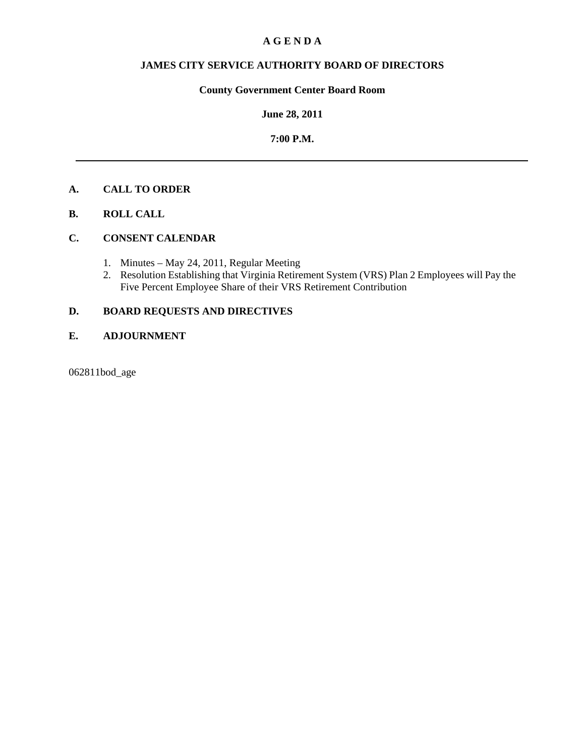### **A G E N D A**

## **JAMES CITY SERVICE AUTHORITY BOARD OF DIRECTORS**

## **County Government Center Board Room**

### **June 28, 2011**

### **7:00 P.M.**

## **A. CALL TO ORDER**

**B. ROLL CALL** 

## **C. CONSENT CALENDAR**

- 1. Minutes May 24, 2011, Regular Meeting
- 2. Resolution Establishing that Virginia Retirement System (VRS) Plan 2 Employees will Pay the Five Percent Employee Share of their VRS Retirement Contribution

## **D. BOARD REQUESTS AND DIRECTIVES**

### **E. ADJOURNMENT**

062811bod\_age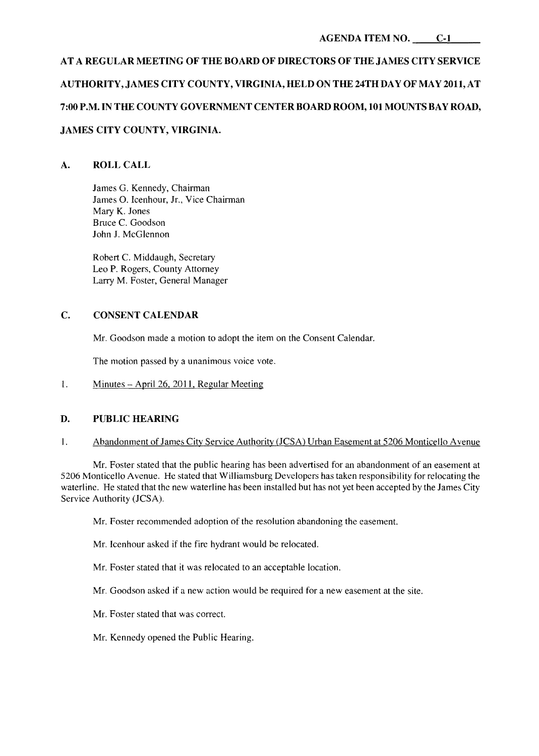# **AT A REGULAR MEETING OF THE BOARD OF DIRECTORS OF THE JAMES CITY SERVICE AUTHORITY, JAMES CITY COUNTY, VIRGINIA, HELD ON THE 24TH DA Y OF MAY 2011, AT 7:00 P.M. IN THE COUNTY GOVERNMENT CENTER BOARD ROOM, 101 MOUNTS BAY ROAD, JAMES CITY COUNTY, VIRGINIA.**

## **A. ROLLCALL**

James G. Kennedy, Chairman James O. Icenhour, Jr., Vice Chairman Mary K. Jones Bruce C. Goodson John J. McGlennon

Robert C. Middaugh, Secretary Leo P. Rogers, County Attorney Larry M. Foster, General Manager

## **C. CONSENT CALENDAR**

Mr. Goodson made a motion to adopt the item on the Consent Calendar.

The motion passed by a unanimous voice vote.

l. Minutes - April 26, 2011, Regular Meeting

### **D. PUBLIC HEARING**

I. Abandonment of James City Service Authority (JCSA) Urban Easement at 5206 Monticello A venue

Mr. Foster stated that the public hearing has been advertised for an abandonment of an easement at 5206 Monticello Avenue. He stated that Williamsburg Developers has taken responsibility for relocating the waterline. He stated that the new waterline has been installed but has not yet been accepted by the James City Service Authority (JCSA).

Mr. Foster recommended adoption of the resolution abandoning the easement.

Mr. Icenhour asked if the fire hydrant would be relocated.

Mr. Foster stated that it was relocated to an acceptable location.

Mr. Goodson asked if a new action would be required for a new easement at the site.

- Mr. Foster stated that was correct.
- Mr. Kennedy opened the Public Hearing.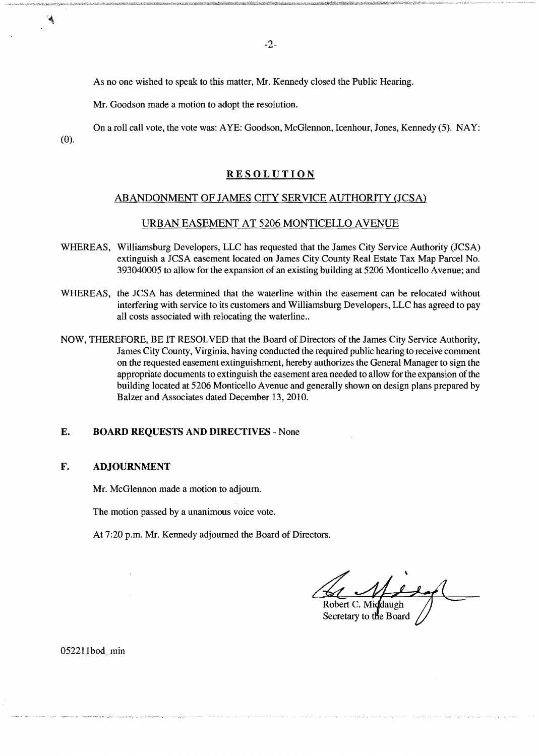As no one wished to speak to this matter, Mr. Kennedy closed the Public Hearing.

Mr. Goodson made a motion to adopt the resolution.

On a roll call vote, the vote was: AYE: Goodson, McGlennon, Icenhour, Jones, Kennedy (5). NAY: (0).

### RESOLUTION

### ABANDONMENT OF JAMES CITY SERVICE AUTHORITY (JCSA)

### URBAN EASEMENT AT 5206 MONTICEILO AVENUE

- WHEREAS, Williamsburg Developers, LLC has requested that the James City Service Authority (JCSA) extinguish a JCSA easement located on James City County Real Estate Tax Map Parcel No. 393040005 to allow for the expansion of an existing building at 5206 Monticello A venue; and
- WHEREAS, the JCSA has determined that the waterline within the easement can be relocated without interfering with service to its customers and Williamsburg Developers, LLC has agreed to pay all costs associated with relocating the waterline...
- NOW, THEREFORE, BE IT RESOLVED that the Board of Directors of the James City Service Authority, James City County, Virginia, having conducted the required public hearing to receive comment on the requested easement extinguishment, hereby authorizes the General Manager to sign the appropriate documents to extinguish the easement area needed to allow for the expansion of the building located at 5206 Monticello Avenue and generally shown on design plans prepared by Balzer and Associates dated December 13,2010.

### E. **BOARD** REQUESTS AND DIRECTIVES - None

#### F. ADJOURNMENT

Mr. McGlennon made a motion to adjourn.

The motion passed by a unanimous voice vote.

At 7:20 p.m. Mr. Kennedy adjourned the Board of Directors.

Robert C. Middaugh

Secretary to the Board

052211bod min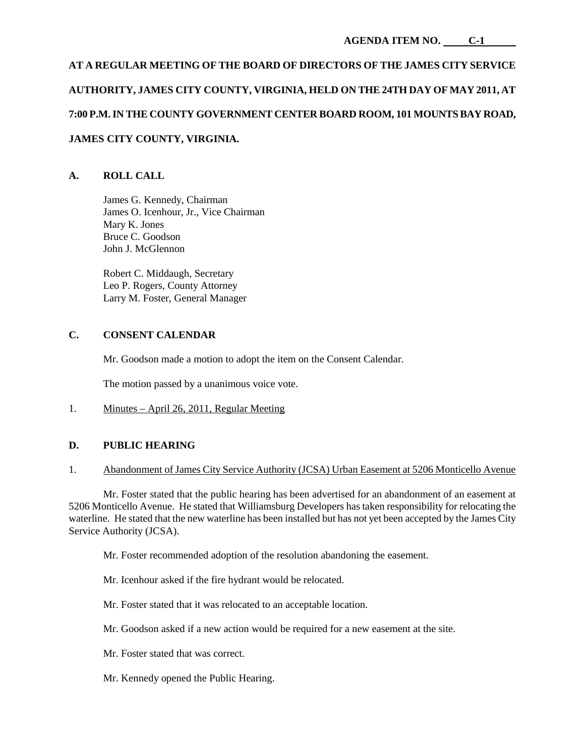# **AT A REGULAR MEETING OF THE BOARD OF DIRECTORS OF THE JAMES CITY SERVICE AUTHORITY, JAMES CITY COUNTY, VIRGINIA, HELD ON THE 24TH DAY OF MAY 2011, AT 7:00 P.M. IN THE COUNTY GOVERNMENT CENTER BOARD ROOM, 101 MOUNTS BAY ROAD, JAMES CITY COUNTY, VIRGINIA.**

## **A. ROLL CALL**

James G. Kennedy, Chairman James O. Icenhour, Jr., Vice Chairman Mary K. Jones Bruce C. Goodson John J. McGlennon

Robert C. Middaugh, Secretary Leo P. Rogers, County Attorney Larry M. Foster, General Manager

### **C. CONSENT CALENDAR**

Mr. Goodson made a motion to adopt the item on the Consent Calendar.

The motion passed by a unanimous voice vote.

1. Minutes – April 26, 2011, Regular Meeting

### **D. PUBLIC HEARING**

#### 1. Abandonment of James City Service Authority (JCSA) Urban Easement at 5206 Monticello Avenue

Mr. Foster stated that the public hearing has been advertised for an abandonment of an easement at 5206 Monticello Avenue. He stated that Williamsburg Developers has taken responsibility for relocating the waterline. He stated that the new waterline has been installed but has not yet been accepted by the James City Service Authority (JCSA).

Mr. Foster recommended adoption of the resolution abandoning the easement.

Mr. Icenhour asked if the fire hydrant would be relocated.

Mr. Foster stated that it was relocated to an acceptable location.

- Mr. Goodson asked if a new action would be required for a new easement at the site.
- Mr. Foster stated that was correct.
- Mr. Kennedy opened the Public Hearing.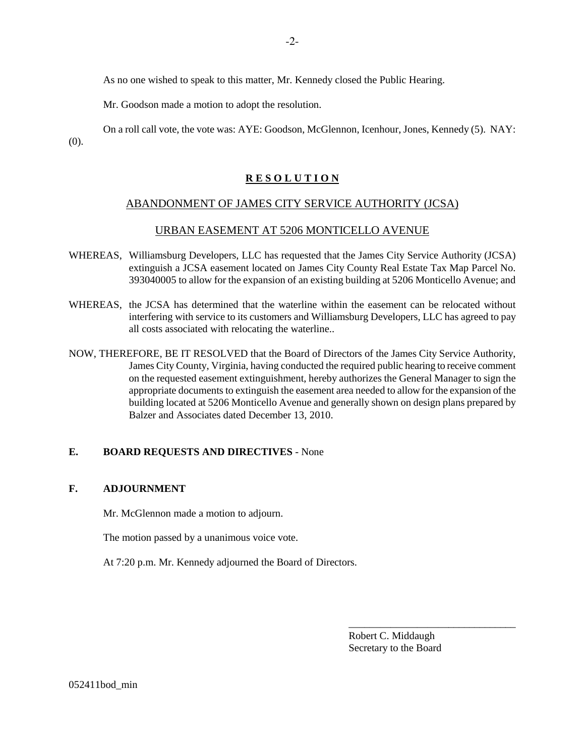As no one wished to speak to this matter, Mr. Kennedy closed the Public Hearing.

Mr. Goodson made a motion to adopt the resolution.

On a roll call vote, the vote was: AYE: Goodson, McGlennon, Icenhour, Jones, Kennedy (5). NAY: (0).

## **R E S O L U T I O N**

## ABANDONMENT OF JAMES CITY SERVICE AUTHORITY (JCSA)

## URBAN EASEMENT AT 5206 MONTICELLO AVENUE

- WHEREAS, Williamsburg Developers, LLC has requested that the James City Service Authority (JCSA) extinguish a JCSA easement located on James City County Real Estate Tax Map Parcel No. 393040005 to allow for the expansion of an existing building at 5206 Monticello Avenue; and
- WHEREAS, the JCSA has determined that the waterline within the easement can be relocated without interfering with service to its customers and Williamsburg Developers, LLC has agreed to pay all costs associated with relocating the waterline..
- NOW, THEREFORE, BE IT RESOLVED that the Board of Directors of the James City Service Authority, James City County, Virginia, having conducted the required public hearing to receive comment on the requested easement extinguishment, hereby authorizes the General Manager to sign the appropriate documents to extinguish the easement area needed to allow for the expansion of the building located at 5206 Monticello Avenue and generally shown on design plans prepared by Balzer and Associates dated December 13, 2010.

## **E. BOARD REQUESTS AND DIRECTIVES** - None

## **F. ADJOURNMENT**

Mr. McGlennon made a motion to adjourn.

The motion passed by a unanimous voice vote.

At 7:20 p.m. Mr. Kennedy adjourned the Board of Directors.

Robert C. Middaugh Secretary to the Board

\_\_\_\_\_\_\_\_\_\_\_\_\_\_\_\_\_\_\_\_\_\_\_\_\_\_\_\_\_\_\_\_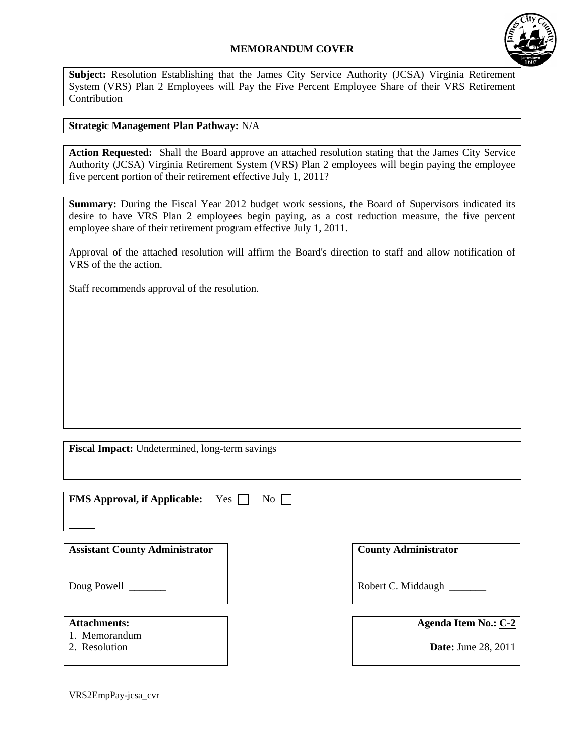## **MEMORANDUM COVER**



**Subject:** Resolution Establishing that the James City Service Authority (JCSA) Virginia Retirement System (VRS) Plan 2 Employees will Pay the Five Percent Employee Share of their VRS Retirement Contribution

## **Strategic Management Plan Pathway:** N/A

**Action Requested:** Shall the Board approve an attached resolution stating that the James City Service Authority (JCSA) Virginia Retirement System (VRS) Plan 2 employees will begin paying the employee five percent portion of their retirement effective July 1, 2011?

**Summary:** During the Fiscal Year 2012 budget work sessions, the Board of Supervisors indicated its desire to have VRS Plan 2 employees begin paying, as a cost reduction measure, the five percent employee share of their retirement program effective July 1, 2011.

Approval of the attached resolution will affirm the Board's direction to staff and allow notification of VRS of the the action.

Staff recommends approval of the resolution.

**Fiscal Impact:** Undetermined, long-term savings

**FMS Approval, if Applicable:** Yes  $\Box$  No  $\Box$ 

| <b>Assistant County Administrator</b> | <b>County Administrator</b> |
|---------------------------------------|-----------------------------|
| Doug Powell                           | Robert C. Middaugh          |
| <b>Attachments:</b>                   | <b>Agenda Item No.: C-2</b> |
| 1. Memorandum<br>2. Resolution        | <b>Date:</b> June 28, 2011  |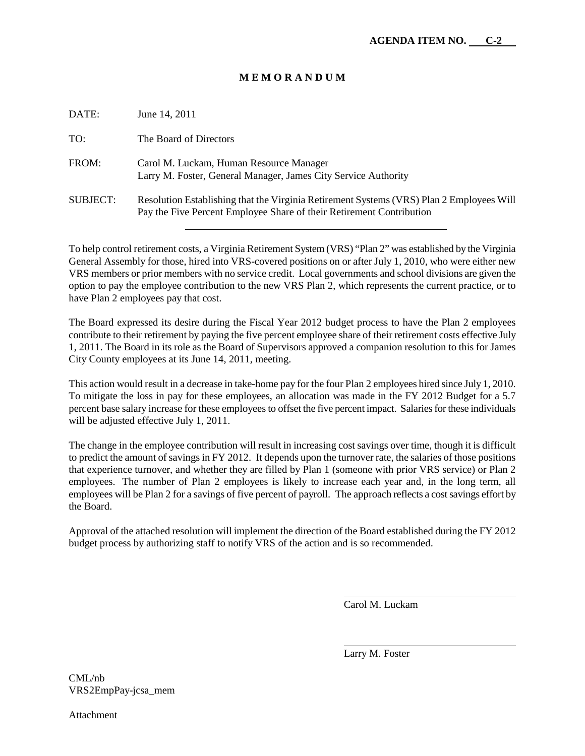### **M E M O R A N D U M**

| DATE:           | June 14, 2011                                                                                                                                                    |
|-----------------|------------------------------------------------------------------------------------------------------------------------------------------------------------------|
| TO:             | The Board of Directors                                                                                                                                           |
| FROM:           | Carol M. Luckam, Human Resource Manager<br>Larry M. Foster, General Manager, James City Service Authority                                                        |
| <b>SUBJECT:</b> | Resolution Establishing that the Virginia Retirement Systems (VRS) Plan 2 Employees Will<br>Pay the Five Percent Employee Share of their Retirement Contribution |

To help control retirement costs, a Virginia Retirement System (VRS) "Plan 2" was established by the Virginia General Assembly for those, hired into VRS-covered positions on or after July 1, 2010, who were either new VRS members or prior members with no service credit. Local governments and school divisions are given the option to pay the employee contribution to the new VRS Plan 2, which represents the current practice, or to have Plan 2 employees pay that cost.

The Board expressed its desire during the Fiscal Year 2012 budget process to have the Plan 2 employees contribute to their retirement by paying the five percent employee share of their retirement costs effective July 1, 2011. The Board in its role as the Board of Supervisors approved a companion resolution to this for James City County employees at its June 14, 2011, meeting.

This action would result in a decrease in take-home pay for the four Plan 2 employees hired since July 1, 2010. To mitigate the loss in pay for these employees, an allocation was made in the FY 2012 Budget for a 5.7 percent base salary increase for these employees to offset the five percent impact. Salaries for these individuals will be adjusted effective July 1, 2011.

The change in the employee contribution will result in increasing cost savings over time, though it is difficult to predict the amount of savings in FY 2012. It depends upon the turnover rate, the salaries of those positions that experience turnover, and whether they are filled by Plan 1 (someone with prior VRS service) or Plan 2 employees. The number of Plan 2 employees is likely to increase each year and, in the long term, all employees will be Plan 2 for a savings of five percent of payroll. The approach reflects a cost savings effort by the Board.

Approval of the attached resolution will implement the direction of the Board established during the FY 2012 budget process by authorizing staff to notify VRS of the action and is so recommended.

Carol M. Luckam

Larry M. Foster

CML/nb VRS2EmpPay-jcsa\_mem

Attachment